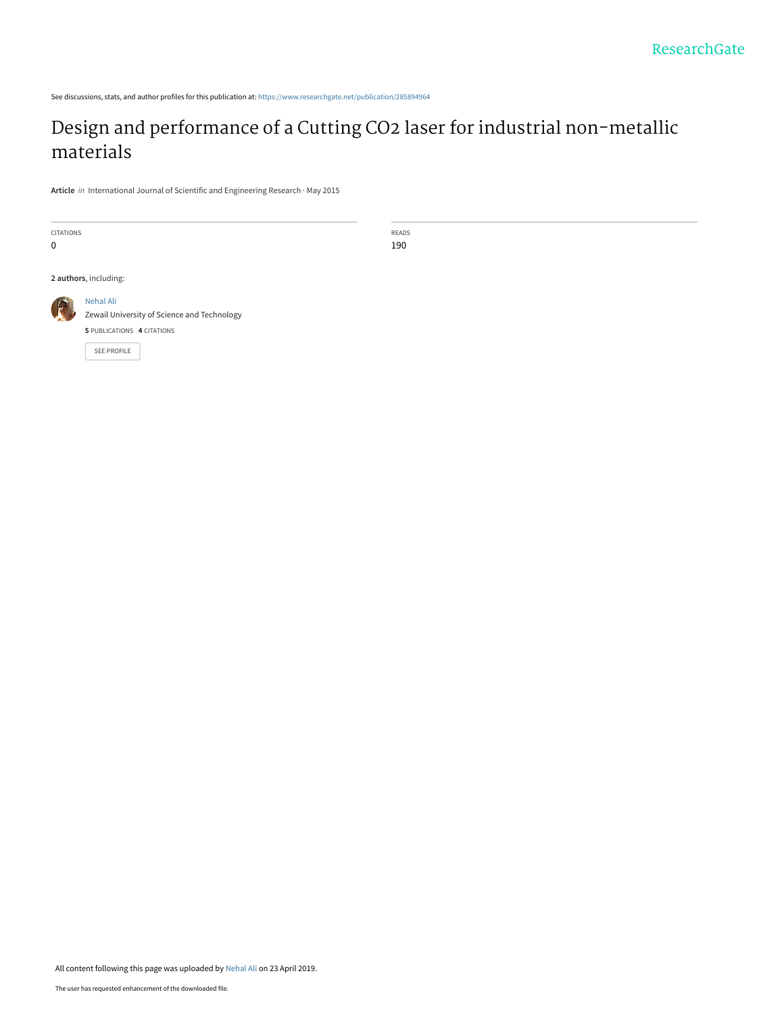See discussions, stats, and author profiles for this publication at: [https://www.researchgate.net/publication/285894964](https://www.researchgate.net/publication/285894964_Design_and_performance_of_a_Cutting_CO2_laser_for_industrial_non-metallic_materials?enrichId=rgreq-98165e509ee3b88f0a8930b5bfc490da-XXX&enrichSource=Y292ZXJQYWdlOzI4NTg5NDk2NDtBUzo3NTA4NTI1MTE4OTU1NTJAMTU1NjAyODU5NzExNw%3D%3D&el=1_x_2&_esc=publicationCoverPdf)

## [Design and performance of a Cutting CO2 laser for industrial non-metallic](https://www.researchgate.net/publication/285894964_Design_and_performance_of_a_Cutting_CO2_laser_for_industrial_non-metallic_materials?enrichId=rgreq-98165e509ee3b88f0a8930b5bfc490da-XXX&enrichSource=Y292ZXJQYWdlOzI4NTg5NDk2NDtBUzo3NTA4NTI1MTE4OTU1NTJAMTU1NjAyODU5NzExNw%3D%3D&el=1_x_3&_esc=publicationCoverPdf) materials

READS 190

**Article** in International Journal of Scientific and Engineering Research · May 2015



All content following this page was uploaded by [Nehal Ali](https://www.researchgate.net/profile/Nehal-Ali-7?enrichId=rgreq-98165e509ee3b88f0a8930b5bfc490da-XXX&enrichSource=Y292ZXJQYWdlOzI4NTg5NDk2NDtBUzo3NTA4NTI1MTE4OTU1NTJAMTU1NjAyODU5NzExNw%3D%3D&el=1_x_10&_esc=publicationCoverPdf) on 23 April 2019.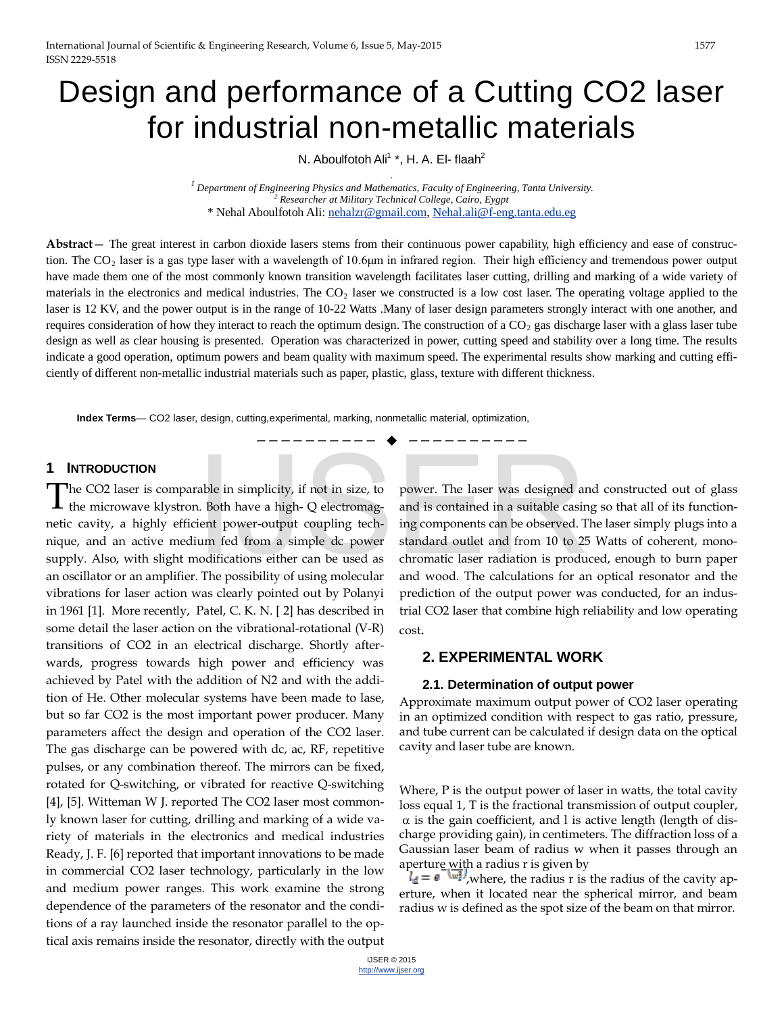# Design and performance of a Cutting CO2 laser for industrial non-metallic materials

N. Aboulfotoh Ali<sup>1</sup> \*, H. A. El- flaah<sup>2</sup>

*. 1 Department of Engineering Physics and Mathematics, Faculty of Engineering, Tanta University. <sup>2</sup> Researcher at Military Technical College, Cairo, Eygpt* \* Nehal Aboulfotoh Ali[: nehalzr@gmail.com,](mailto:nehalzr@gmail.com) [Nehal.ali@f-eng.tanta.edu.eg](mailto:Nehal.ali@f-eng.tanta.edu.eg)

**Abstract**— The great interest in carbon dioxide lasers stems from their continuous power capability, high efficiency and ease of construction. The CO2 laser is a gas type laser with a wavelength of 10.6μm in infrared region. Their high efficiency and tremendous power output have made them one of the most commonly known transition wavelength facilitates laser cutting, drilling and marking of a wide variety of materials in the electronics and medical industries. The  $CO<sub>2</sub>$  laser we constructed is a low cost laser. The operating voltage applied to the laser is 12 KV, and the power output is in the range of 10-22 Watts .Many of laser design parameters strongly interact with one another, and requires consideration of how they interact to reach the optimum design. The construction of a  $CO<sub>2</sub>$  gas discharge laser with a glass laser tube design as well as clear housing is presented. Operation was characterized in power, cutting speed and stability over a long time. The results indicate a good operation, optimum powers and beam quality with maximum speed. The experimental results show marking and cutting efficiently of different non-metallic industrial materials such as paper, plastic, glass, texture with different thickness.

—————————— ——————————

**Index Terms**— CO2 laser, design, cutting,experimental, marking, nonmetallic material, optimization,

### **1 INTRODUCTION**

he CO2 laser is comparable in simplicity, if not in size, to the microwave klystron. Both have a high- Q electromagnetic cavity, a highly efficient power-output coupling technique, and an active medium fed from a simple dc power supply. Also, with slight modifications either can be used as an oscillator or an amplifier. The possibility of using molecular vibrations for laser action was clearly pointed out by [Polanyi](http://www.laserk.com/newsletters/whiteREF.html) in 1961 [1]. More recently[, Patel, C. K. N. \[ 2\] h](http://www.laserk.com/newsletters/whiteREF.html)as described in some detail the laser action on the vibrational-rotational (V-R) transitions of CO2 in an electrical discharge. Shortly afterwards, progress towards high power and efficiency was achieved by [Patel w](http://www.laserk.com/newsletters/whiteREF.html)ith the addition of N2 and with the addition of He. Other molecular systems have been made to lase, but so far CO2 is the most important power producer. Many parameters affect the design and operation of the CO2 laser. The gas discharge can be powered with dc, ac, RF, repetitive pulses, or any combination thereof. The mirrors can be fixed, rotated for Q-switching, or vibrated for reactive Q-switching [4], [5]. Witteman W J. reported The CO2 laser most commonly known laser for cutting, drilling and marking of a wide variety of materials in the electronics and medical industries Ready, J. F. [6] reported that important innovations to be made in commercial CO2 laser technology, particularly in the low and medium power ranges. This work examine the strong dependence of the parameters of the resonator and the conditions of a ray launched inside the resonator parallel to the optical axis remains inside the resonator, directly with the output T

power. The laser was designed and constructed out of glass and is contained in a suitable casing so that all of its functioning components can be observed. The laser simply plugs into a standard outlet and from 10 to 25 Watts of coherent, monochromatic laser radiation is produced, enough to burn paper and wood. The calculations for an optical resonator and the prediction of the output power was conducted, for an industrial CO2 laser that combine high reliability and low operating cost. able in simplicity, if not in size, to<br>
able in simplicity, if not in size, to<br>
able in solution and is contained in a suitable casir<br>
ient power-output coupling tech-<br>
ing components can be observed. T<br>
um fed from a simp

### **2. EXPERIMENTAL WORK**

### **2.1. Determination of output power**

Approximate maximum output power of CO2 laser operating in an optimized condition with respect to gas ratio, pressure, and tube current can be calculated if design data on the optical cavity and laser tube are known.

Where, P is the output power of laser in watts, the total cavity loss equal 1, T is the fractional transmission of output coupler,  $\alpha$  is the gain coefficient, and l is active length (length of discharge providing gain), in centimeters. The diffraction loss of a Gaussian laser beam of radius w when it passes through an aperture with a radius r is given by

 $I_d = e^{-\frac{1}{2}t}$ , where, the radius r is the radius of the cavity aperture, when it located near the spherical mirror, and beam radius w is defined as the spot size of the beam on that mirror.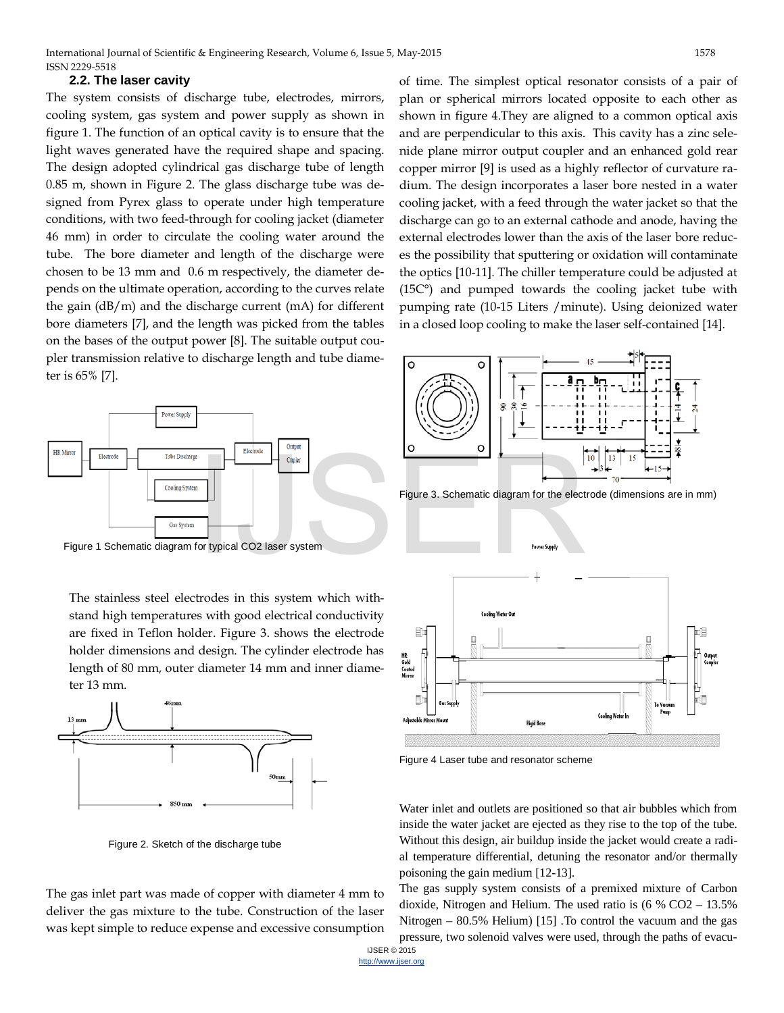### **2.2. The laser cavity**

The system consists of discharge tube, electrodes, mirrors, cooling system, gas system and power supply as shown in figure 1. The function of an optical cavity is to ensure that the light waves generated have the required shape and spacing. The design adopted cylindrical gas discharge tube of length 0.85 m, shown in Figure 2. The glass discharge tube was designed from Pyrex glass to operate under high temperature conditions, with two feed-through for cooling jacket (diameter 46 mm) in order to circulate the cooling water around the tube. The bore diameter and length of the discharge were chosen to be 13 mm and 0.6 m respectively, the diameter depends on the ultimate operation, according to the curves relate the gain (dB/m) and the discharge current (mA) for different bore diameters [7], and the length was picked from the tables on the bases of the output power [8]. The suitable output coupler transmission relative to discharge length and tube diameter is 65% [7].



Figure 1 Schematic diagram for typical CO2 laser system

The stainless steel electrodes in this system which withstand high temperatures with good electrical conductivity are fixed in Teflon holder. Figure 3. shows the electrode holder dimensions and design. The cylinder electrode has length of 80 mm, outer diameter 14 mm and inner diameter 13 mm.



Figure 2. Sketch of the discharge tube

The gas inlet part was made of copper with diameter 4 mm to deliver the gas mixture to the tube. Construction of the laser was kept simple to reduce expense and excessive consumption

of time. The simplest optical resonator consists of a pair of plan or spherical mirrors located opposite to each other as shown in figure 4.They are aligned to a common optical axis and are perpendicular to this axis. This cavity has a zinc selenide plane mirror output coupler and an enhanced gold rear copper mirror [9] is used as a highly reflector of curvature radium. The design incorporates a laser bore nested in a water cooling jacket, with a feed through the water jacket so that the discharge can go to an external cathode and anode, having the external electrodes lower than the axis of the laser bore reduces the possibility that sputtering or oxidation will contaminate the optics [10-11]. The chiller temperature could be adjusted at (15C°) and pumped towards the cooling jacket tube with pumping rate (10-15 Liters /minute). Using deionized water in a closed loop cooling to make the laser self-contained [14].



Figure 3. Schematic diagram for the electrode (dimensions are in mm)



Figure 4 Laser tube and resonator scheme

Water inlet and outlets are positioned so that air bubbles which from inside the water jacket are ejected as they rise to the top of the tube. Without this design, air buildup inside the jacket would create a radial temperature differential, detuning the resonator and/or thermally poisoning the gain medium [12-13].

The gas supply system consists of a premixed mixture of Carbon dioxide, Nitrogen and Helium. The used ratio is (6 % CO2 – 13.5% Nitrogen – 80.5% Helium) [15] .To control the vacuum and the gas pressure, two solenoid valves were used, through the paths of evacu-

IJSER © 2015 [http://www.ijser.org](http://www.ijser.org/)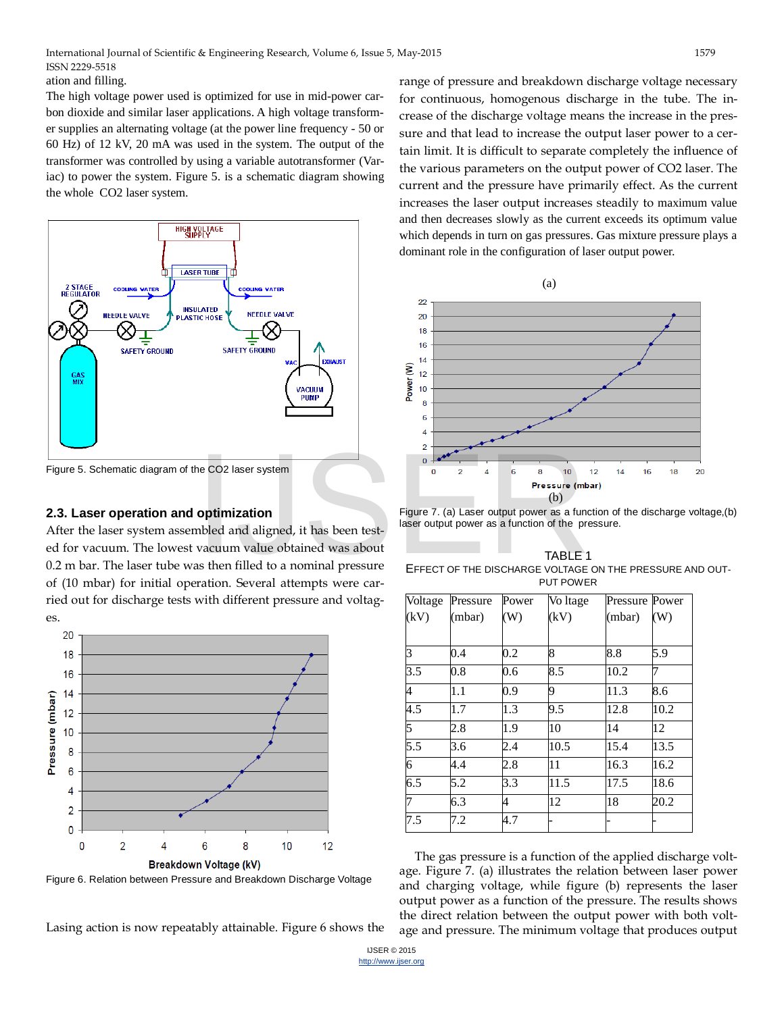ation and filling.

The high voltage power used is optimized for use in mid-power carbon dioxide and similar laser applications. A high voltage transformer supplies an alternating voltage (at the power line frequency - 50 or 60 Hz) of 12 kV, 20 mA was used in the system. The output of the transformer was controlled by using a variable autotransformer (Variac) to power the system. Figure 5. is a schematic diagram showing the whole CO2 laser system.



Figure 5. Schematic diagram of the CO2 laser system

### **2.3. Laser operation and optimization**

After the laser system assembled and aligned, it has been tested for vacuum. The lowest vacuum value obtained was about 0.2 m bar. The laser tube was then filled to a nominal pressure of (10 mbar) for initial operation. Several attempts were carried out for discharge tests with different pressure and voltages. THE CO2 laser system<br> **OPERIT CO2 laser system**<br> **OPERIT CO2 laser system**<br> **OPERIT CO2 laser system**<br> **OPERITE:**<br> **OPERITE:**<br> **OPERITE:**<br> **PRESSURE**<br> **OPERITE:**<br> **PRESSURE**<br> **OPERITE:**<br> **PRESSURE**<br> **OPERITE:**<br> **PRESSURE**<br>



Figure 6. Relation between Pressure and Breakdown Discharge Voltage

range of pressure and breakdown discharge voltage necessary for continuous, homogenous discharge in the tube. The increase of the discharge voltage means the increase in the pressure and that lead to increase the output laser power to a certain limit. It is difficult to separate completely the influence of the various parameters on the output power of CO2 laser. The current and the pressure have primarily effect. As the current increases the laser output increases steadily to maximum value and then decreases slowly as the current exceeds its optimum value which depends in turn on gas pressures. Gas mixture pressure plays a dominant role in the configuration of laser output power.



Figure 7. (a) Laser output power as a function of the discharge voltage,(b) laser output power as a function of the pressure.

TABLE 1 EFFECT OF THE DISCHARGE VOLTAGE ON THE PRESSURE AND OUT-PUT POWER

| Voltage        | Pressure | Power          | Vo Itage | <b>Pressure Power</b> |      |
|----------------|----------|----------------|----------|-----------------------|------|
| (kV)           | (mbar)   | $(\mathrm{W})$ | (kV)     | (mbar)                | (W)  |
|                |          |                |          |                       |      |
| 3              | 0.4      | 0.2            | 8        | 8.8                   | 5.9  |
| 3.5            | 0.8      | 0.6            | 8.5      | 10.2                  | 7    |
| $\overline{4}$ | 1.1      | 0.9            | 9        | 11.3                  | 8.6  |
| 4.5            | 1.7      | 1.3            | 9.5      | 12.8                  | 10.2 |
| 5              | 2.8      | 1.9            | 10       | 14                    | 12   |
| 5.5            | 3.6      | 2.4            | 10.5     | 15.4                  | 13.5 |
| $\overline{6}$ | 4.4      | 2.8            | 11       | 16.3                  | 16.2 |
| 6.5            | 5.2      | 3.3            | 11.5     | 17.5                  | 18.6 |
| 7              | 6.3      | 4              | 12       | 18                    | 20.2 |
| 7.5            | 7.2      | 4.7            |          |                       |      |

The gas pressure is a function of the applied discharge voltage. Figure 7. (a) illustrates the relation between laser power and charging voltage, while figure (b) represents the laser output power as a function of the pressure. The results shows the direct relation between the output power with both voltage and pressure. The minimum voltage that produces output

Lasing action is now repeatably attainable. Figure 6 shows the

IJSER © 2015 [http://www.ijser.org](http://www.ijser.org/)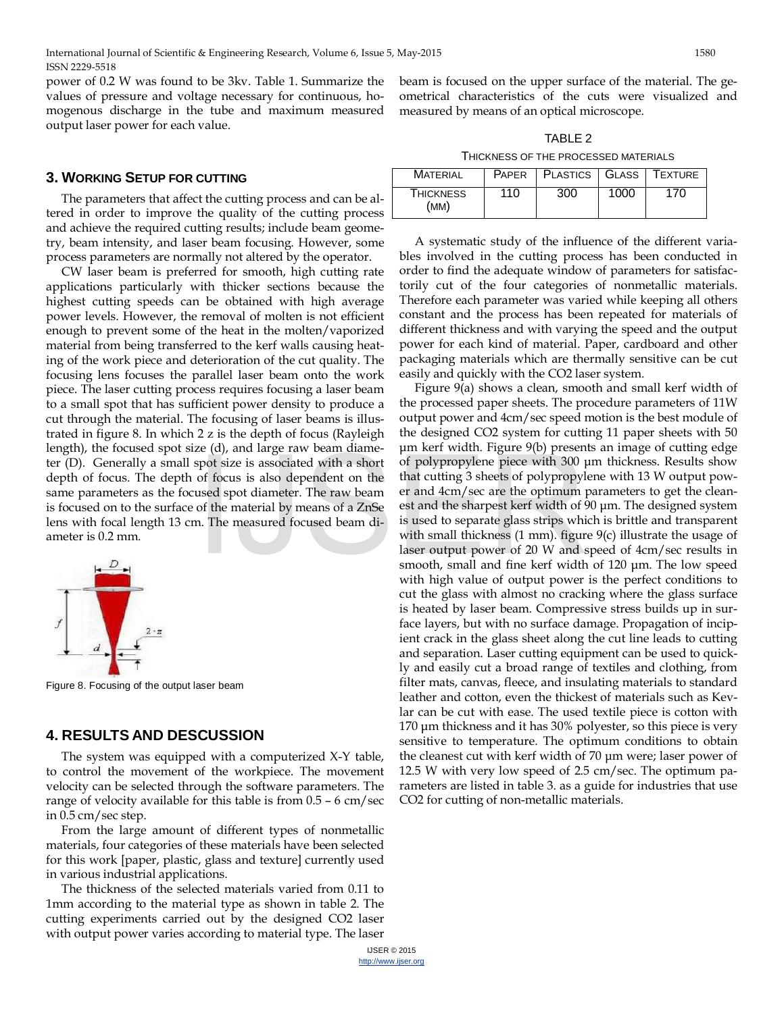power of 0.2 W was found to be 3kv. Table 1. Summarize the values of pressure and voltage necessary for continuous, homogenous discharge in the tube and maximum measured output laser power for each value.

### **3. WORKING SETUP FOR CUTTING**

The parameters that affect the cutting process and can be altered in order to improve the quality of the cutting process and achieve the required cutting results; include beam geometry, beam intensity, and laser beam focusing. However, some process parameters are normally not altered by the operator.

CW laser beam is preferred for smooth, high cutting rate applications particularly with thicker sections because the highest cutting speeds can be obtained with high average power levels. However, the removal of molten is not efficient enough to prevent some of the heat in the molten/vaporized material from being transferred to the kerf walls causing heating of the work piece and deterioration of the cut quality. The focusing lens focuses the parallel laser beam onto the work piece. The laser cutting process requires focusing a laser beam to a small spot that has sufficient power density to produce a cut through the material. The focusing of laser beams is illustrated in figure 8. In which 2 z is the depth of focus (Rayleigh length), the focused spot size (d), and large raw beam diameter (D). Generally a small spot size is associated with a short depth of focus. The depth of focus is also dependent on the same parameters as the focused spot diameter. The raw beam is focused on to the surface of the material by means of a ZnSe lens with focal length 13 cm. The measured focused beam diameter is 0.2 mm.



Figure 8. Focusing of the output laser beam

### **4. RESULTS AND DESCUSSION**

The system was equipped with a computerized X-Y table, to control the movement of the workpiece. The movement velocity can be selected through the software parameters. The range of velocity available for this table is from 0.5 – 6 cm/sec in 0.5 cm/sec step.

From the large amount of different types of nonmetallic materials, four categories of these materials have been selected for this work [paper, plastic, glass and texture] currently used in various industrial applications.

The thickness of the selected materials varied from 0.11 to 1mm according to the material type as shown in table 2. The cutting experiments carried out by the designed CO2 laser with output power varies according to material type. The laser beam is focused on the upper surface of the material. The geometrical characteristics of the cuts were visualized and measured by means of an optical microscope.

TABLE 2 THICKNESS OF THE PROCESSED MATERIALS

| <b>MATERIAL</b>          |     | PAPER   PLASTICS   GLASS   TEXTURE |      |     |
|--------------------------|-----|------------------------------------|------|-----|
| <b>THICKNESS</b><br>(MM) | 110 | 300                                | 1000 | 170 |

A systematic study of the influence of the different variables involved in the cutting process has been conducted in order to find the adequate window of parameters for satisfactorily cut of the four categories of nonmetallic materials. Therefore each parameter was varied while keeping all others constant and the process has been repeated for materials of different thickness and with varying the speed and the output power for each kind of material. Paper, cardboard and other packaging materials which are thermally sensitive can be cut easily and quickly with the CO2 laser system.

Figure 9(a) shows a clean, smooth and small kerf width of the processed paper sheets. The procedure parameters of 11W output power and 4cm/sec speed motion is the best module of the designed CO2 system for cutting 11 paper sheets with 50 μm kerf width. Figure 9(b) presents an image of cutting edge of polypropylene piece with 300 μm thickness. Results show that cutting 3 sheets of polypropylene with 13 W output power and 4cm/sec are the optimum parameters to get the cleanest and the sharpest kerf width of 90 μm. The designed system is used to separate glass strips which is brittle and transparent with small thickness (1 mm). figure 9(c) illustrate the usage of laser output power of 20 W and speed of 4cm/sec results in smooth, small and fine kerf width of 120 μm. The low speed with high value of output power is the perfect conditions to cut the glass with almost no cracking where the glass surface is heated by laser beam. Compressive stress builds up in surface layers, but with no surface damage. Propagation of incipient crack in the glass sheet along the cut line leads to cutting and separation. Laser cutting equipment can be used to quickly and easily cut a broad range of textiles and clothing, from filter mats, canvas, fleece, and insulating materials to standard leather and cotton, even the thickest of materials such as Kevlar can be cut with ease. The used textile piece is cotton with 170 μm thickness and it has 30% polyester, so this piece is very sensitive to temperature. The optimum conditions to obtain the cleanest cut with kerf width of 70 μm were; laser power of 12.5 W with very low speed of 2.5 cm/sec. The optimum parameters are listed in table 3. as a guide for industries that use CO2 for cutting of non-metallic materials. Let (u), and large raw beam dialities<br>spot size is associated with a short of polypropylene piece with 300 p<br>of focus is also dependent on the that cutting 3 sheets of polypropyl<br>used spot diameter. The raw beam of the mat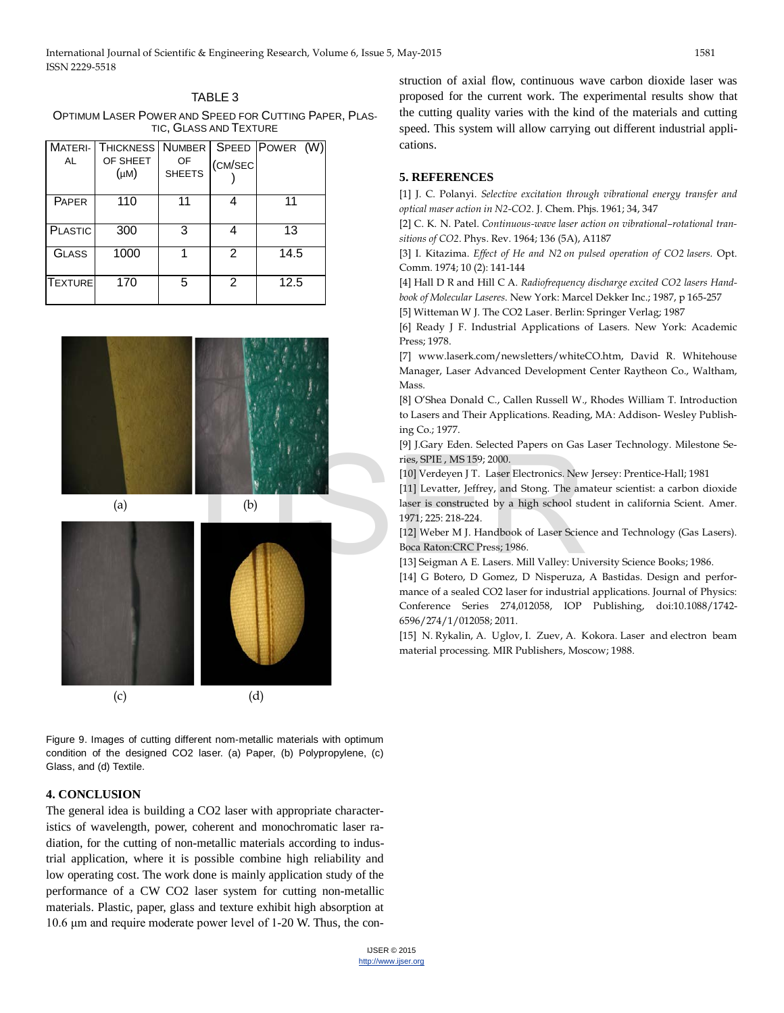TABLE 3 OPTIMUM LASER POWER AND SPEED FOR CUTTING PAPER, PLAS-TIC, GLASS AND TEXTURE

| <b>MATERI-</b> | <b>THICKNESS</b> |                     |         | NUMBER SPEED POWER (W) |
|----------------|------------------|---------------------|---------|------------------------|
| <b>AL</b>      | OF SHEET<br>(µM) | OF<br><b>SHEETS</b> | (CM/SEC |                        |
| PAPER          | 110              | 11                  |         | 11                     |
| <b>PLASTIC</b> | 300              | 3                   | Δ       | 13                     |
| GLASS          | 1000             |                     | 2       | 14.5                   |
| <b>TEXTURE</b> | 170              | 5                   | 2       | 12.5                   |



Figure 9. Images of cutting different nom-metallic materials with optimum condition of the designed CO2 laser. (a) Paper, (b) Polypropylene, (c) Glass, and (d) Textile.

### **4. CONCLUSION**

The general idea is building a CO2 laser with appropriate characteristics of wavelength, power, coherent and monochromatic laser radiation, for the cutting of non-metallic materials according to industrial application, where it is possible combine high reliability and low operating cost. The work done is mainly application study of the performance of a CW CO2 laser system for cutting non-metallic materials. Plastic, paper, glass and texture exhibit high absorption at 10.6 μm and require moderate power level of 1-20 W. Thus, the con-

struction of axial flow, continuous wave carbon dioxide laser was proposed for the current work. The experimental results show that the cutting quality varies with the kind of the materials and cutting speed. This system will allow carrying out different industrial applications.

### **5. REFERENCES**

[1] J. C. Polanyi. *Selective excitation through vibrational energy transfer and optical maser action in N2-CO2*. J. Chem. Phjs. 1961; 34, 347

[2] C. K. N. Patel. *Continuous-wave laser action on vibrational–rotational transitions of CO2*[. Phys. Rev. 1964; 136 \(5A\), A1187](http://prola.aps.org/abstract/PR/v136/i5A/pA1187_1) 

[3] [I. Kitazima.](http://www.sciencedirect.com/science/article/pii/0030401874900406) *Effect of He and N2 on pulsed operation of CO2 lasers.* [Opt.](http://www.sciencedirect.com/science/journal/00304018)  [Comm.](http://www.sciencedirect.com/science/journal/00304018) 1974; 10 (2): 141-144

[4] Hall D R and Hill C A. *Radiofrequency discharge excited CO2 lasers Handbook of Molecular Laseres*. New York: Marcel Dekker Inc.; 1987, p 165-257 [5] Witteman W J. The CO2 Laser. Berlin: Springer Verlag; 1987

[6] Ready J F. Industrial Applications of Lasers. New York: Academic Press; 1978.

[7] www.laserk.com/newsletters/whiteCO.htm, David R. Whitehouse Manager, Laser Advanced Development Center Raytheon Co., Waltham, Mass.

[8] O'Shea Donald C., Callen Russell W., Rhodes William T. Introduction to Lasers and Their Applications. Reading, MA: Addison- Wesley Publishing Co.; 1977.

[9] J.Gary Eden. Selected Papers on Gas Laser Technology. Milestone Series, SPIE , MS 159; 2000.

[10] Verdeyen J T. Laser Electronics. New Jersey: Prentice-Hall; 1981

[11] Levatter, Jeffrey, and Stong. The amateur scientist: a carbon dioxide laser is constructed by a high school student in california Scient. Amer. 1971; 225: 218-224.

[12] Weber M J. Handbook of Laser Science and Technology (Gas Lasers). Boca Raton:CRC Press; 1986.

[13] Seigman A E. Lasers. Mill Valley: University Science Books; 1986.

[14] G Botero, D Gomez, D Nisperuza, A Bastidas. Design and performance of a sealed CO2 laser for industrial applications. Journal of Physics: Conference Series 274,012058, IOP Publishing, doi:10.1088/1742- 6596/274/1/012058; 2011.

[15] N. Rykalin, A. Uglov, I. Zuev, A. Kokora. Laser and electron beam material processing. MIR Publishers, Moscow; 1988.